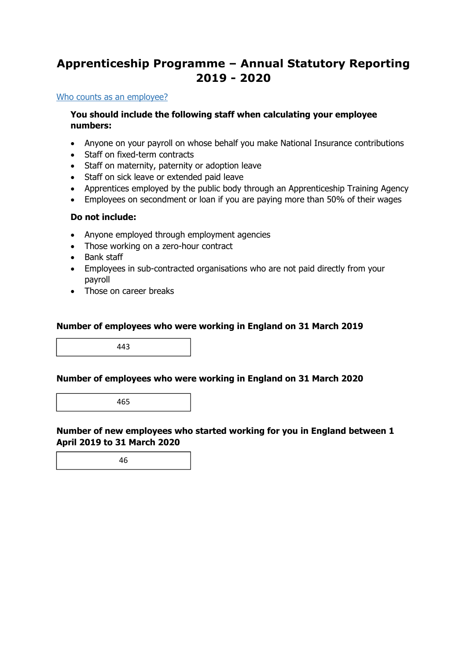### **Apprenticeship Programme – Annual Statutory Reporting 2019 - 2020**

#### Who counts as an employee?

#### **You should include the following staff when calculating your employee numbers:**

- Anyone on your payroll on whose behalf you make National Insurance contributions
- Staff on fixed-term contracts
- Staff on maternity, paternity or adoption leave
- Staff on sick leave or extended paid leave
- Apprentices employed by the public body through an Apprenticeship Training Agency
- Employees on secondment or loan if you are paying more than 50% of their wages

#### **Do not include:**

- Anyone employed through employment agencies
- Those working on a zero-hour contract
- Bank staff
- Employees in sub-contracted organisations who are not paid directly from your payroll
- Those on career breaks

#### **Number of employees who were working in England on 31 March 2019**

443

#### **Number of employees who were working in England on 31 March 2020**

465

#### **Number of new employees who started working for you in England between 1 April 2019 to 31 March 2020**

46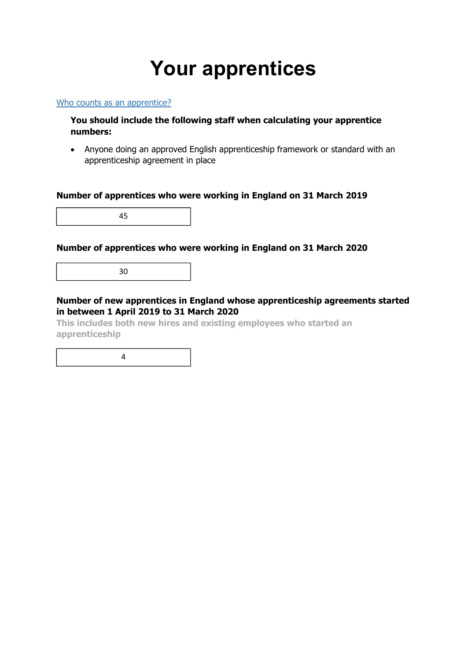## **Your apprentices**

#### Who counts as an apprentice?

#### **You should include the following staff when calculating your apprentice numbers:**

 Anyone doing an approved English apprenticeship framework or standard with an apprenticeship agreement in place

#### **Number of apprentices who were working in England on 31 March 2019**

45

#### **Number of apprentices who were working in England on 31 March 2020**

30

#### **Number of new apprentices in England whose apprenticeship agreements started in between 1 April 2019 to 31 March 2020**

**This includes both new hires and existing employees who started an apprenticeship** 

4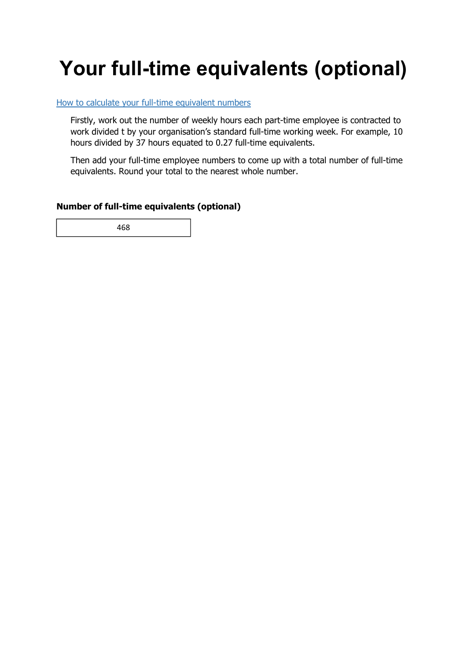# **Your full-time equivalents (optional)**

#### How to calculate your full-time equivalent numbers

Firstly, work out the number of weekly hours each part-time employee is contracted to work divided t by your organisation's standard full-time working week. For example, 10 hours divided by 37 hours equated to 0.27 full-time equivalents.

Then add your full-time employee numbers to come up with a total number of full-time equivalents. Round your total to the nearest whole number.

#### **Number of full-time equivalents (optional)**

468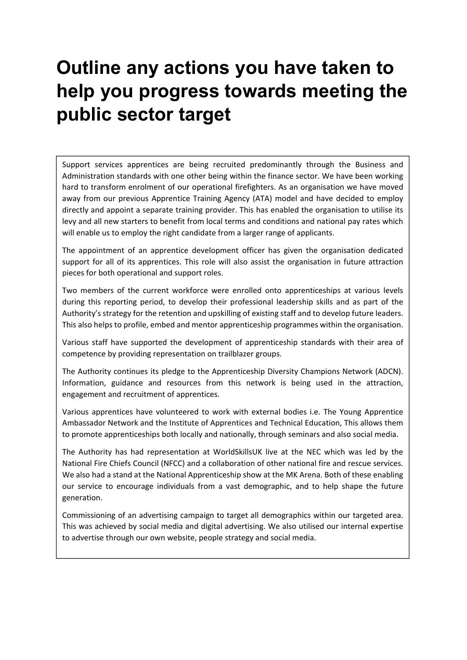### **Outline any actions you have taken to help you progress towards meeting the public sector target**

Support services apprentices are being recruited predominantly through the Business and Administration standards with one other being within the finance sector. We have been working hard to transform enrolment of our operational firefighters. As an organisation we have moved away from our previous Apprentice Training Agency (ATA) model and have decided to employ directly and appoint a separate training provider. This has enabled the organisation to utilise its levy and all new starters to benefit from local terms and conditions and national pay rates which will enable us to employ the right candidate from a larger range of applicants.

The appointment of an apprentice development officer has given the organisation dedicated support for all of its apprentices. This role will also assist the organisation in future attraction pieces for both operational and support roles.

Two members of the current workforce were enrolled onto apprenticeships at various levels during this reporting period, to develop their professional leadership skills and as part of the Authority's strategy for the retention and upskilling of existing staff and to develop future leaders. This also helps to profile, embed and mentor apprenticeship programmes within the organisation.

Various staff have supported the development of apprenticeship standards with their area of competence by providing representation on trailblazer groups.

The Authority continues its pledge to the Apprenticeship Diversity Champions Network (ADCN). Information, guidance and resources from this network is being used in the attraction, engagement and recruitment of apprentices.

Various apprentices have volunteered to work with external bodies i.e. The Young Apprentice Ambassador Network and the Institute of Apprentices and Technical Education, This allows them to promote apprenticeships both locally and nationally, through seminars and also social media.

The Authority has had representation at WorldSkillsUK live at the NEC which was led by the National Fire Chiefs Council (NFCC) and a collaboration of other national fire and rescue services. We also had a stand at the National Apprenticeship show at the MK Arena. Both of these enabling our service to encourage individuals from a vast demographic, and to help shape the future generation.

Commissioning of an advertising campaign to target all demographics within our targeted area. This was achieved by social media and digital advertising. We also utilised our internal expertise to advertise through our own website, people strategy and social media.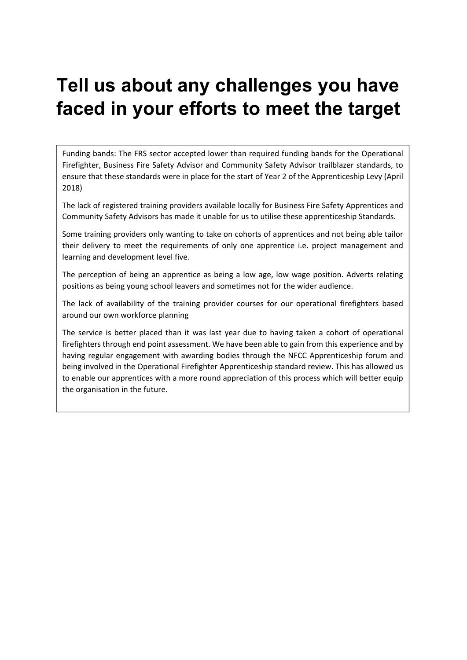### **Tell us about any challenges you have faced in your efforts to meet the target**

Funding bands: The FRS sector accepted lower than required funding bands for the Operational Firefighter, Business Fire Safety Advisor and Community Safety Advisor trailblazer standards, to ensure that these standards were in place for the start of Year 2 of the Apprenticeship Levy (April 2018)

The lack of registered training providers available locally for Business Fire Safety Apprentices and Community Safety Advisors has made it unable for us to utilise these apprenticeship Standards.

Some training providers only wanting to take on cohorts of apprentices and not being able tailor their delivery to meet the requirements of only one apprentice i.e. project management and learning and development level five.

The perception of being an apprentice as being a low age, low wage position. Adverts relating positions as being young school leavers and sometimes not for the wider audience.

The lack of availability of the training provider courses for our operational firefighters based around our own workforce planning

The service is better placed than it was last year due to having taken a cohort of operational firefighters through end point assessment. We have been able to gain from this experience and by having regular engagement with awarding bodies through the NFCC Apprenticeship forum and being involved in the Operational Firefighter Apprenticeship standard review. This has allowed us to enable our apprentices with a more round appreciation of this process which will better equip the organisation in the future.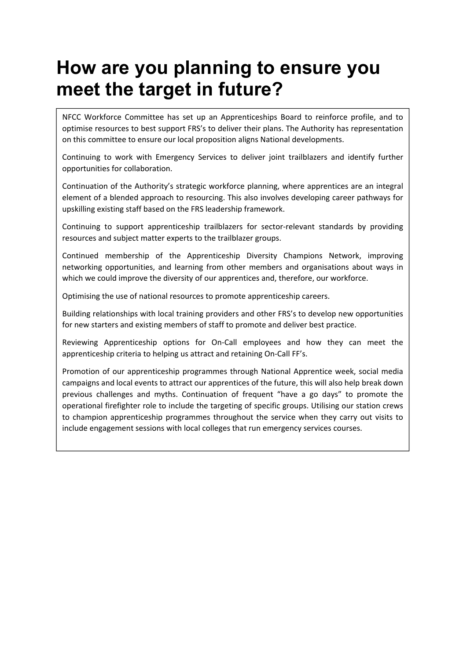### **How are you planning to ensure you meet the target in future?**

NFCC Workforce Committee has set up an Apprenticeships Board to reinforce profile, and to optimise resources to best support FRS's to deliver their plans. The Authority has representation on this committee to ensure our local proposition aligns National developments.

Continuing to work with Emergency Services to deliver joint trailblazers and identify further opportunities for collaboration.

Continuation of the Authority's strategic workforce planning, where apprentices are an integral element of a blended approach to resourcing. This also involves developing career pathways for upskilling existing staff based on the FRS leadership framework.

Continuing to support apprenticeship trailblazers for sector-relevant standards by providing resources and subject matter experts to the trailblazer groups.

Continued membership of the Apprenticeship Diversity Champions Network, improving networking opportunities, and learning from other members and organisations about ways in which we could improve the diversity of our apprentices and, therefore, our workforce.

Optimising the use of national resources to promote apprenticeship careers.

Building relationships with local training providers and other FRS's to develop new opportunities for new starters and existing members of staff to promote and deliver best practice.

Reviewing Apprenticeship options for On‐Call employees and how they can meet the apprenticeship criteria to helping us attract and retaining On‐Call FF's.

Promotion of our apprenticeship programmes through National Apprentice week, social media campaigns and local events to attract our apprentices of the future, this will also help break down previous challenges and myths. Continuation of frequent "have a go days" to promote the operational firefighter role to include the targeting of specific groups. Utilising our station crews to champion apprenticeship programmes throughout the service when they carry out visits to include engagement sessions with local colleges that run emergency services courses.